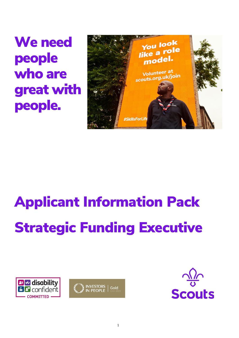We need people who are great with people.



# Applicant Information Pack Strategic Funding Executive





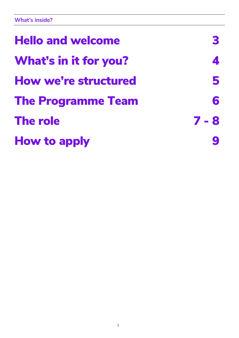| <b>Hello and welcome</b>     |         |
|------------------------------|---------|
| <b>What's in it for you?</b> |         |
| <b>How we're structured</b>  | 5       |
| <b>The Programme Team</b>    | 6       |
| <b>The role</b>              | $7 - 8$ |
| <b>How to apply</b>          |         |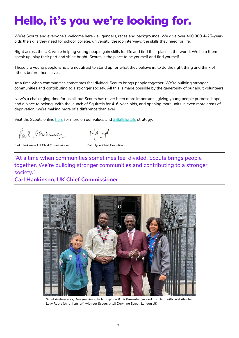## Hello, it's you we're looking for.

We're Scouts and everyone's welcome here - all genders, races and backgrounds. We give over 400,000 4–25-yearolds the skills they need for school, college, university, the job interview: the skills they need for life.

Right across the UK, we're helping young people gain skills for life and find their place in the world. We help them speak up, play their part and shine bright. Scouts is the place to be yourself and find yourself.

These are young people who are not afraid to stand up for what they believe in, to do the right thing and think of others before themselves.

At a time when communities sometimes feel divided, Scouts brings people together. We're building stronger communities and contributing to a stronger society. All this is made possible by the generosity of our adult volunteers.

Now's a challenging time for us all, but Scouts has never been more important - giving young people purpose, hope, and a place to belong. With the launch of Squirrels for 4–6-year-olds, and opening more units in even more areas of deprivation, we're making more of a difference than ever.

Visit the Scouts onlin[e here](https://www.scouts.org.uk/about-us/strategy/our-programmes-of-work/) for more on our values and **#SkillsforLife** strategy.

Pal Clentinson

Matt Kyd

Cark Hankinson, UK Chief Commissioner Matt Hyde, Chief Executive

**'**At a time when communities sometimes feel divided, Scouts brings people together. We're building stronger communities and contributing to a stronger society**.'** 

#### **Carl Hankinson, UK Chief Commissioner**



Scout Ambassador, Dwayne Fields, Polar Explorer & TV Presenter (second from left) with celebrity chef Levy Roots (third from left) with our Scouts at 10 Downing Street, London UK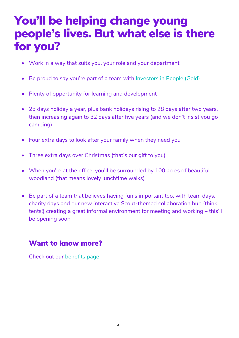### You'll be helping change young people's lives. But what else is there for you?

- Work in a way that suits you, your role and your department
- Be proud to say you're part of a team with [Investors in People \(Gold\)](https://www.investorsinpeople.com/wp-content/uploads/2020/04/We-invest-in-people-framework.pdf)
- Plenty of opportunity for learning and development
- 25 days holiday a year, plus bank holidays rising to 28 days after two years, then increasing again to 32 days after five years (and we don't insist you go camping)
- Four extra days to look after your family when they need you
- Three extra days over Christmas (that's our gift to you)
- When you're at the office, you'll be surrounded by 100 acres of beautiful woodland (that means lovely lunchtime walks)
- Be part of a team that believes having fun's important too, with team days, charity days and our new interactive Scout-themed collaboration hub (think tents!) creating a great informal environment for meeting and working – this'll be opening soon

### Want to know more?

Check out our [benefits](https://www.scouts.org.uk/about-us/jobs/working-at-the-scouts/work-with-us/rewards-and-benefits/) page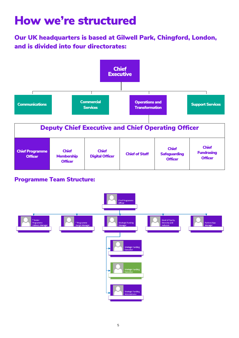### How we're structured

Our UK headquarters is based at Gilwell Park, Chingford, London, and is divided into four directorates:



| <b>Digital Officer</b><br><b>Membership</b><br><b>Officer</b><br><b>Officer</b><br><b>Officer</b><br><b>Officer</b> |
|---------------------------------------------------------------------------------------------------------------------|
|---------------------------------------------------------------------------------------------------------------------|

### Programme Team Structure:

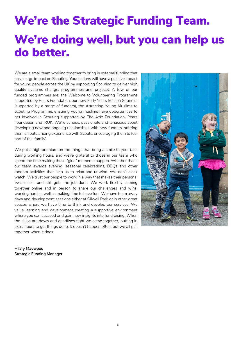# We're the Strategic Funding Team. We're doing well, but you can help us do better.

We are a small team working together to bring in external funding that has a large impact on Scouting. Your actions will have a positive impact for young people across the UK by supporting Scouting to deliver high quality systems change, programmes and projects. A few of our funded programmes are: the Welcome to Volunteering Programme supported by Pears Foundation, our new Early Years Section Squirrels (supported by a range of funders), the Attracting Young Muslims to Scouting Programme, ensuring young muslims have opportunities to get involved in Scouting supported by The Aziz Foundation, Pears Foundation and IRUK. We're curious, passionate and tenacious about developing new and ongoing relationships with new funders, offering them an outstanding experience with Scouts, encouraging them to feel part of the 'family'.

We put a high premium on the things that bring a smile to your face during working hours, and we're grateful to those in our team who spend the time making these "glue" moments happen. Whether that's our team awards evening, seasonal celebrations, BBQs and other random activities that help us to relax and unwind. We don't clock watch. We trust our people to work in a way that makes their personal lives easier and still gets the job done. We work flexibly coming together online and in person to share our challenges and wins, working hard as well as making time to have fun. We have team away days and development sessions either at Gilwell Park or in other great spaces where we have time to think and develop our services. We value learning and development creating a supportive environment where you can succeed and gain new insights into fundraising. When the chips are down and deadlines tight we come together, putting in extra hours to get things done. It doesn't happen often, but we all pull together when it does.

Hilary Maywood Strategic Funding Manager

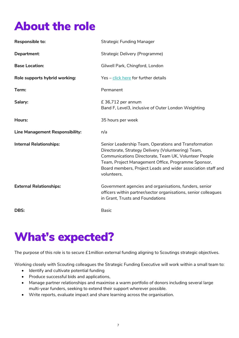### About the role

| Responsible to:                 | <b>Strategic Funding Manager</b>                                                                                                                                                                                                                                                                            |
|---------------------------------|-------------------------------------------------------------------------------------------------------------------------------------------------------------------------------------------------------------------------------------------------------------------------------------------------------------|
| Department:                     | Strategic Delivery (Programme)                                                                                                                                                                                                                                                                              |
| <b>Base Location:</b>           | Gilwell Park, Chingford, London                                                                                                                                                                                                                                                                             |
| Role supports hybrid working:   | Yes - click here for further details                                                                                                                                                                                                                                                                        |
| Term:                           | Permanent                                                                                                                                                                                                                                                                                                   |
| Salary:                         | £ 36,712 per annum<br>Band F, Level3, inclusive of Outer London Weighting                                                                                                                                                                                                                                   |
| Hours:                          | 35 hours per week                                                                                                                                                                                                                                                                                           |
|                                 |                                                                                                                                                                                                                                                                                                             |
| Line Management Responsibility: | n/a                                                                                                                                                                                                                                                                                                         |
| <b>Internal Relationships:</b>  | Senior Leadership Team, Operations and Transformation<br>Directorate, Strategy Delivery (Volunteering) Team,<br>Communications Directorate, Team UK, Volunteer People<br>Team, Project Management Office, Programme Sponsor,<br>Board members, Project Leads and wider association staff and<br>volunteers, |
| <b>External Relationships:</b>  | Government agencies and organisations, funders, senior<br>officers within partner/sector organisations, senior colleagues<br>in Grant, Trusts and Foundations                                                                                                                                               |

### What's expected?

The purpose of this role is to secure £1million external funding aligning to Scoutings strategic objectives.

Working closely with Scouting colleagues the Strategic Funding Executive will work within a small team to:

- Identify and cultivate potential funding
- Produce successful bids and applications,
- Manage partner relationships and maximise a warm portfolio of donors including several large multi-year funders, seeking to extend their support wherever possible.
- Write reports, evaluate impact and share learning across the organisation.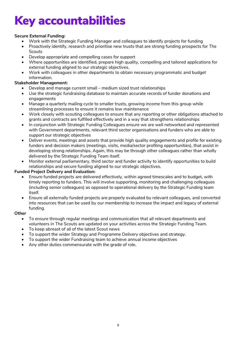# Key accountabilities

#### **Secure External Funding:**

- Work with the Strategic Funding Manager and colleagues to identify projects for funding
- Proactively identify, research and prioritise new trusts that are strong funding prospects for The **Scouts**
- Develop appropriate and compelling cases for support
- Where opportunities are identified, prepare high quality, compelling and tailored applications for external funding aligned to our strategic objectives.
- Work with colleagues in other departments to obtain necessary programmatic and budget information.

#### **Stakeholder Management:**

- Develop and manage current small medium sized trust relationships
- Use the strategic fundraising database to maintain accurate records of funder donations and engagements
- Manage a quarterly mailing cycle to smaller trusts, growing income from this group while streamlining processes to ensure it remains low maintenance
- Work closely with scouting colleagues to ensure that any reporting or other obligations attached to grants and contracts are fulfilled effectively and in a way that strengthens relationships
- In conjunction with Strategic Funding Colleagues ensure we are well networked and represented with Government departments, relevant third sector organisations and funders who are able to support our strategic objectives
- Deliver events, meetings and assets that provide high quality engagements and profile for existing funders and decision makers (meetings, visits, media/sector profiling opportunities), that assist in developing strong relationships. Again, this may be through other colleagues rather than wholly delivered by the Strategic Funding Team itself.
- Monitor external parliamentary, third sector and funder activity to identify opportunities to build relationships and secure funding aligned to our strategic objectives.

#### **Funded Project Delivery and Evaluation:**

- Ensure funded projects are delivered effectively, within agreed timescales and to budget, with timely reporting to funders. This will involve supporting, monitoring and challenging colleagues (including senior colleagues) as opposed to operational delivery by the Strategic Funding team itself.
- Ensure all externally funded projects are properly evaluated by relevant colleagues, and converted into resources that can be used by our membership to increase the impact and legacy of external funding.

#### **Other**

- To ensure through regular meetings and communication that all relevant departments and volunteers in The Scouts are updated on your activities across the Strategic Funding Team.
- To keep abreast of all of the latest Scout news
- To support the wider Strategy and Programme Delivery objectives and strategy.
- To support the wider Fundraising team to achieve annual income objectives
- Any other duties commensurate with the grade of role.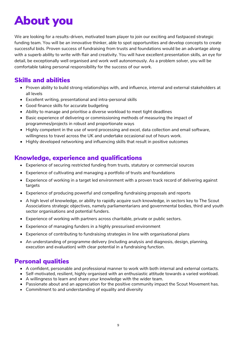# About you

We are looking for a results-driven, motivated team player to join our exciting and fastpaced strategic funding team. You will be an innovative thinker, able to spot opportunities and develop concepts to create successful bids. Proven success of fundraising from trusts and foundations would be an advantage along with a superb ability to write with flair and creativity. You will have excellent presentation skills, an eye for detail, be exceptionally well organised and work well autonomously. As a problem solver, you will be comfortable taking personal responsibility for the success of our work.

### Skills and abilities

- Proven ability to build strong relationships with, and influence, internal and external stakeholders at all levels
- Excellent writing, presentational and intra-personal skills
- Good finance skills for accurate budgeting
- Ability to manage and prioritise a diverse workload to meet tight deadlines
- Basic experience of delivering or commissioning methods of measuring the impact of programmes/projects in robust and proportionate ways
- Highly competent in the use of word processing and excel, data collection and email software, willingness to travel across the UK and undertake occasional out of hours work.
- Highly developed networking and influencing skills that result in positive outcomes

### Knowledge, experience and qualifications

- Experience of securing restricted funding from trusts, statutory or commercial sources
- Experience of cultivating and managing a portfolio of trusts and foundations
- Experience of working in a target led environment with a proven track record of delivering against targets
- Experience of producing powerful and compelling fundraising proposals and reports
- A high level of knowledge, or ability to rapidly acquire such knowledge, in sectors key to The Scout Associations strategic objectives, namely parliamentarians and governmental bodies, third and youth sector organisations and potential funders.
- Experience of working with partners across charitable, private or public sectors.
- Experience of managing funders in a highly pressurised environment
- Experience of contributing to fundraising strategies in line with organisational plans
- An understanding of programme delivery (including analysis and diagnosis, design, planning, execution and evaluation) with clear potential in a fundraising function.

### Personal qualities

- A confident, personable and professional manner to work with both internal and external contacts.
- Self-motivated, resilient, highly organised with an enthusiastic attitude towards a varied workload.
- A willingness to learn and share your knowledge with the wider team.
- Passionate about and an appreciation for the positive community impact the Scout Movement has.
- Commitment to and understanding of equality and diversity